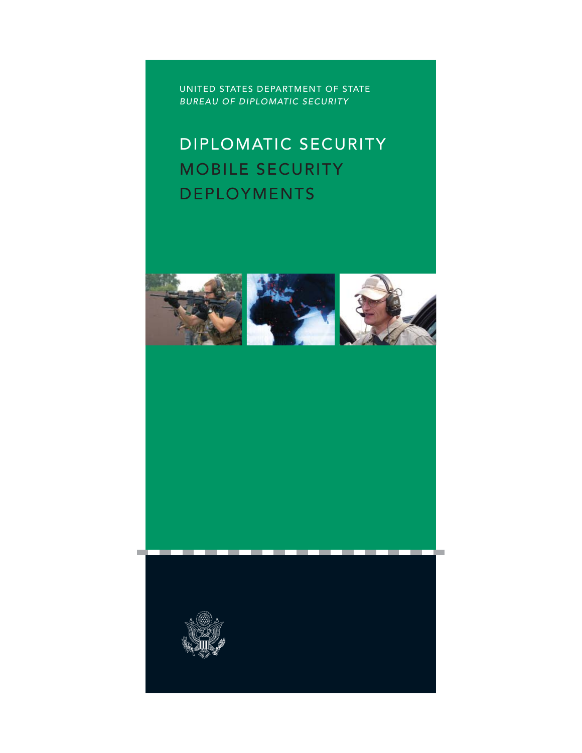UNITED STATES DEPARTMENT OF STATE *BUREAU OF DIPLOMATIC SECURITY*

# DIPLOMATIC SECURITY MOBILE SECURITY DEPLOYMENTS





т m **The Contract of State**  **The Contract of State** 

**The Contract of Service**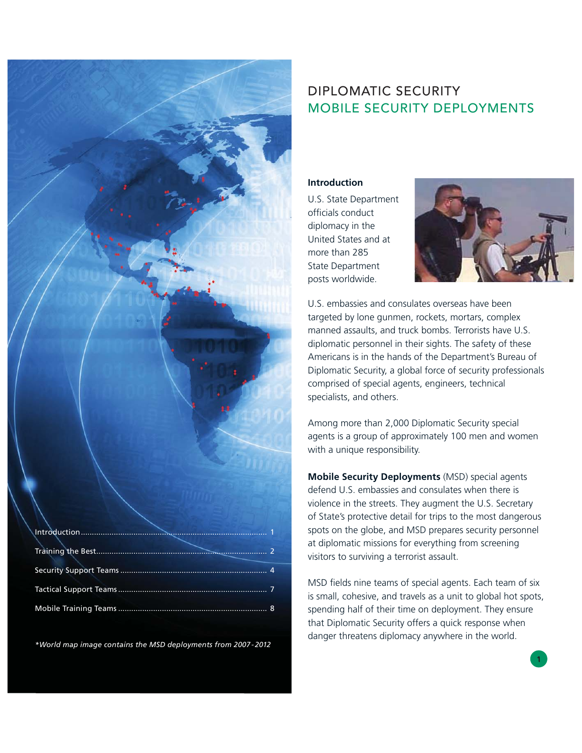# DIPLOMATIC SECURITY MOBILE SECURITY DEPLOYMENTS

**Introduction**

U.S. State Department officials conduct diplomacy in the United States and at more than 285 State Department posts worldwide.



U.S. embassies and consulates overseas have been targeted by lone gunmen, rockets, mortars, complex manned assaults, and truck bombs. Terrorists have U.S. diplomatic personnel in their sights. The safety of these Americans is in the hands of the Department's Bureau of Diplomatic Security, a global force of security professionals comprised of special agents, engineers, technical specialists, and others.

Among more than 2,000 Diplomatic Security special agents is a group of approximately 100 men and women with a unique responsibility.

**Mobile Security Deployments** (MSD) special agents defend U.S. embassies and consulates when there is violence in the streets. They augment the U.S. Secretary of State's protective detail for trips to the most dangerous spots on the globe, and MSD prepares security personnel at diplomatic missions for everything from screening visitors to surviving a terrorist assault.

MSD fields nine teams of special agents. Each team of six is small, cohesive, and travels as a unit to global hot spots, spending half of their time on deployment. They ensure that Diplomatic Security offers a quick response when danger threatens diplomacy anywhere in the world.

*\*World map image contains the MSD deployments from 2007 - 2012*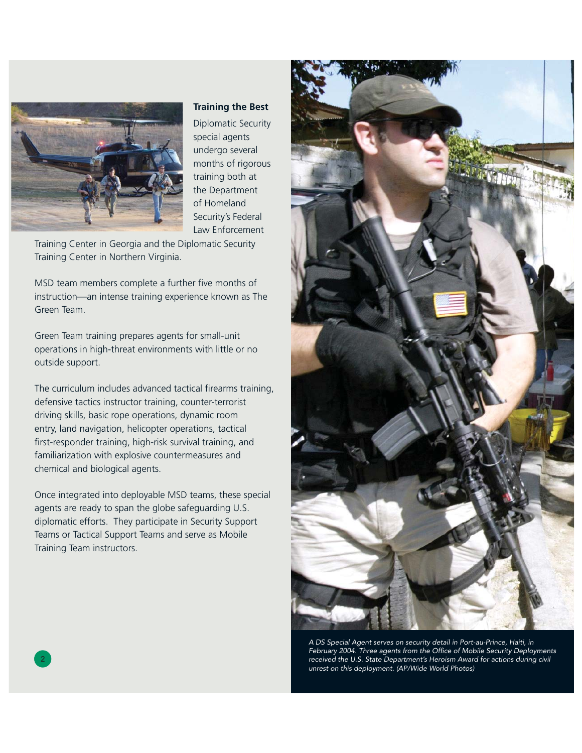

### **Training the Best**

Diplomatic Security special agents undergo several months of rigorous training both at the Department of Homeland Security's Federal Law Enforcement

Training Center in Georgia and the Diplomatic Security Training Center in Northern Virginia.

MSD team members complete a further five months of instruction—an intense training experience known as The Green Team.

Green Team training prepares agents for small-unit operations in high-threat environments with little or no outside support.

The curriculum includes advanced tactical firearms training, defensive tactics instructor training, counter-terrorist driving skills, basic rope operations, dynamic room entry, land navigation, helicopter operations, tactical first-responder training, high-risk survival training, and familiarization with explosive countermeasures and chemical and biological agents.

Once integrated into deployable MSD teams, these special agents are ready to span the globe safeguarding U.S. diplomatic efforts. They participate in Security Support Teams or Tactical Support Teams and serve as Mobile Training Team instructors.



2 3 *received the U.S. State Department's Heroism Award for actions during civil A DS Special Agent serves on security detail in Port-au-Prince, Haiti, in*  February 2004. Three agents from the Office of Mobile Security Deployments *unrest on this deployment. (AP/Wide World Photos)*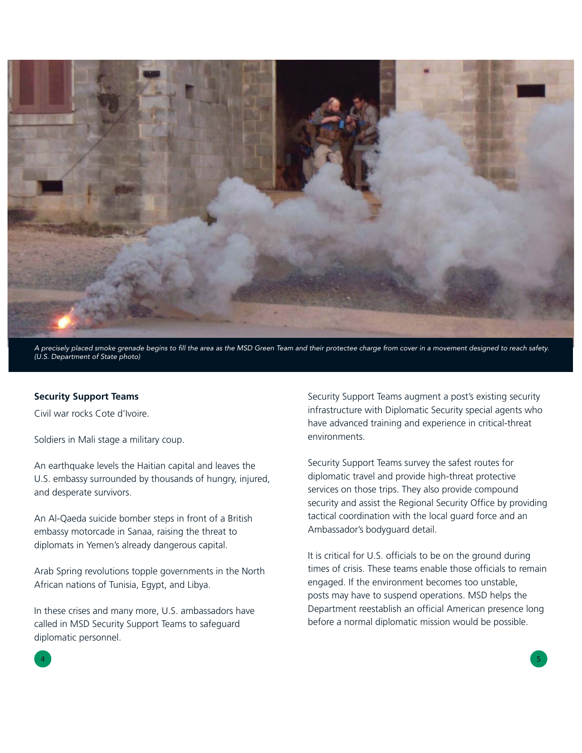

*A precisely placed smoke grenade begins to fi ll the area as the MSD Green Team and their protectee charge from cover in a movement designed to reach safety. (U.S. Department of State photo)*

#### **Security Support Teams**

Civil war rocks Cote d'Ivoire.

Soldiers in Mali stage a military coup.

An earthquake levels the Haitian capital and leaves the U.S. embassy surrounded by thousands of hungry, injured, and desperate survivors.

An Al-Qaeda suicide bomber steps in front of a British embassy motorcade in Sanaa, raising the threat to diplomats in Yemen's already dangerous capital.

Arab Spring revolutions topple governments in the North African nations of Tunisia, Egypt, and Libya.

In these crises and many more, U.S. ambassadors have called in MSD Security Support Teams to safeguard diplomatic personnel.

Security Support Teams augment a post's existing security infrastructure with Diplomatic Security special agents who have advanced training and experience in critical-threat environments.

Security Support Teams survey the safest routes for diplomatic travel and provide high-threat protective services on those trips. They also provide compound security and assist the Regional Security Office by providing tactical coordination with the local guard force and an Ambassador's bodyguard detail.

It is critical for U.S. officials to be on the ground during times of crisis. These teams enable those officials to remain engaged. If the environment becomes too unstable, posts may have to suspend operations. MSD helps the Department reestablish an official American presence long before a normal diplomatic mission would be possible.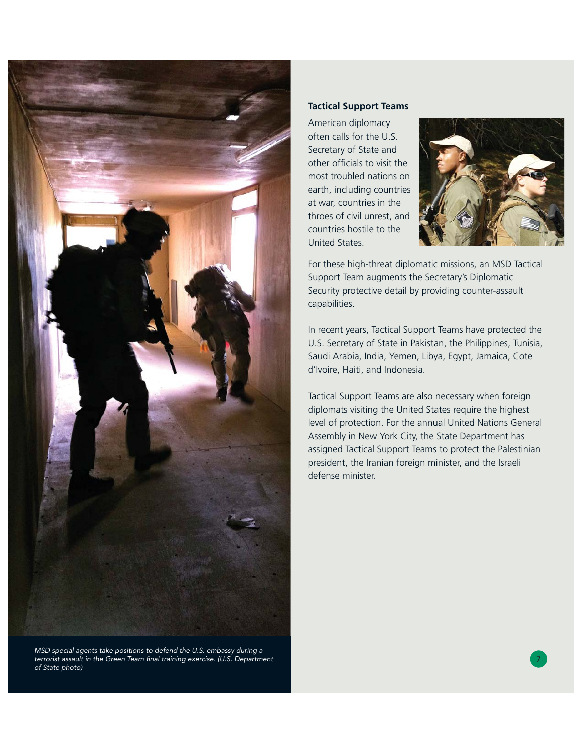

terrorist assault in the Green Team final training exercise. (U.S. Department *interactional community of the state of the state of the state of the state of the state of the state of the state of the state of the state of MSD special agents take positions to defend the U.S. embassy during a of State photo)*

## **Tactical Support Teams**

American diplomacy often calls for the U.S. Secretary of State and other officials to visit the most troubled nations on earth, including countries at war, countries in the throes of civil unrest, and countries hostile to the United States.



For these high-threat diplomatic missions, an MSD Tactical Support Team augments the Secretary's Diplomatic Security protective detail by providing counter-assault capabilities.

In recent years, Tactical Support Teams have protected the U.S. Secretary of State in Pakistan, the Philippines, Tunisia, Saudi Arabia, India, Yemen, Libya, Egypt, Jamaica, Cote d'Ivoire, Haiti, and Indonesia.

Tactical Support Teams are also necessary when foreign diplomats visiting the United States require the highest level of protection. For the annual United Nations General Assembly in New York City, the State Department has assigned Tactical Support Teams to protect the Palestinian president, the Iranian foreign minister, and the Israeli defense minister.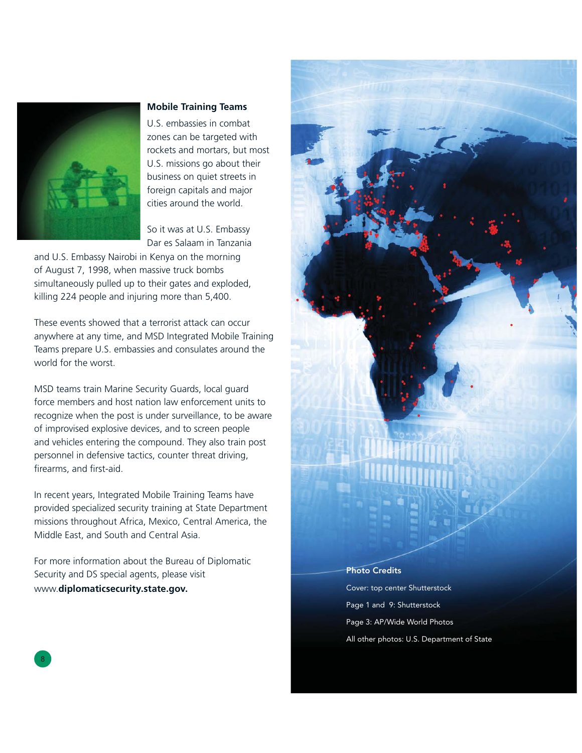

#### **Mobile Training Teams**

U.S. embassies in combat zones can be targeted with rockets and mortars, but most U.S. missions go about their business on quiet streets in foreign capitals and major cities around the world.

So it was at U.S. Embassy Dar es Salaam in Tanzania

and U.S. Embassy Nairobi in Kenya on the morning of August 7, 1998, when massive truck bombs simultaneously pulled up to their gates and exploded, killing 224 people and injuring more than 5,400.

These events showed that a terrorist attack can occur anywhere at any time, and MSD Integrated Mobile Training Teams prepare U.S. embassies and consulates around the world for the worst.

MSD teams train Marine Security Guards, local guard force members and host nation law enforcement units to recognize when the post is under surveillance, to be aware of improvised explosive devices, and to screen people and vehicles entering the compound. They also train post personnel in defensive tactics, counter threat driving, firearms, and first-aid.

In recent years, Integrated Mobile Training Teams have provided specialized security training at State Department missions throughout Africa, Mexico, Central America, the Middle East, and South and Central Asia.

For more information about the Bureau of Diplomatic Security and DS special agents, please visit www.**diplomaticsecurity.state.gov.**



#### Photo Credits

Cover: top center Shutterstock Page 1 and 9: Shutterstock Page 3: AP/Wide World Photos All other photos: U.S. Department of State